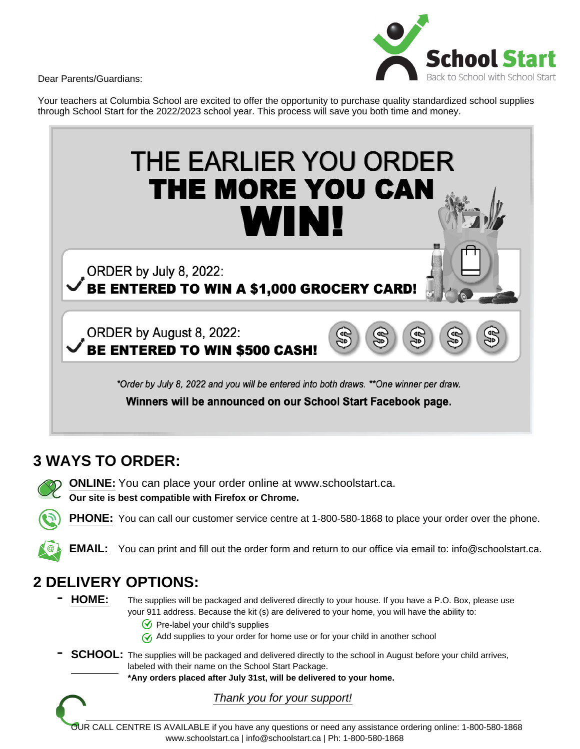Dear Parents/Guardians:



Your teachers at Columbia School are excited to offer the opportunity to purchase quality standardized school supplies through School Start for the 2022/2023 school year. This process will save you both time and money.

# THE EARLIER YOU ORDER THE MORE YOU CAN **WIN!** ORDER by July 8, 2022: BE ENTERED TO WIN A \$1,000 GROCERY CARD! ORDER by August 8, 2022: 유 **BE ENTERED TO WIN \$500 CASH!** \*Order by July 8, 2022 and you will be entered into both draws. \*\*One winner per draw. Winners will be announced on our School Start Facebook page.

## **3 WAYS TO ORDER:**

**ONLINE:** You can place your order online at www.schoolstart.ca. **Our site is best compatible with Firefox or Chrome.**

**PHONE:** You can call our customer service centre at 1-800-580-1868 to place your order over the phone.

**EMAIL:** You can print and fill out the order form and return to our office via email to: info@schoolstart.ca.

## **2 DELIVERY OPTIONS:**

- HOME: The supplies will be packaged and delivered directly to your house. If you have a P.O. Box, please use your 911 address. Because the kit (s) are delivered to your home, you will have the ability to:
	- $\mathcal G$  Pre-label your child's supplies
	- $\gamma$  Add supplies to your order for home use or for your child in another school

**SCHOOL:** The supplies will be packaged and delivered directly to the school in August before your child arrives, labeled with their name on the School Start Package.

**\*Any orders placed after July 31st, will be delivered to your home.**



OUR CALL CENTRE IS AVAILABLE if you have any questions or need any assistance ordering online: 1-800-580-1868 www.schoolstart.ca | info@schoolstart.ca | Ph: 1-800-580-1868